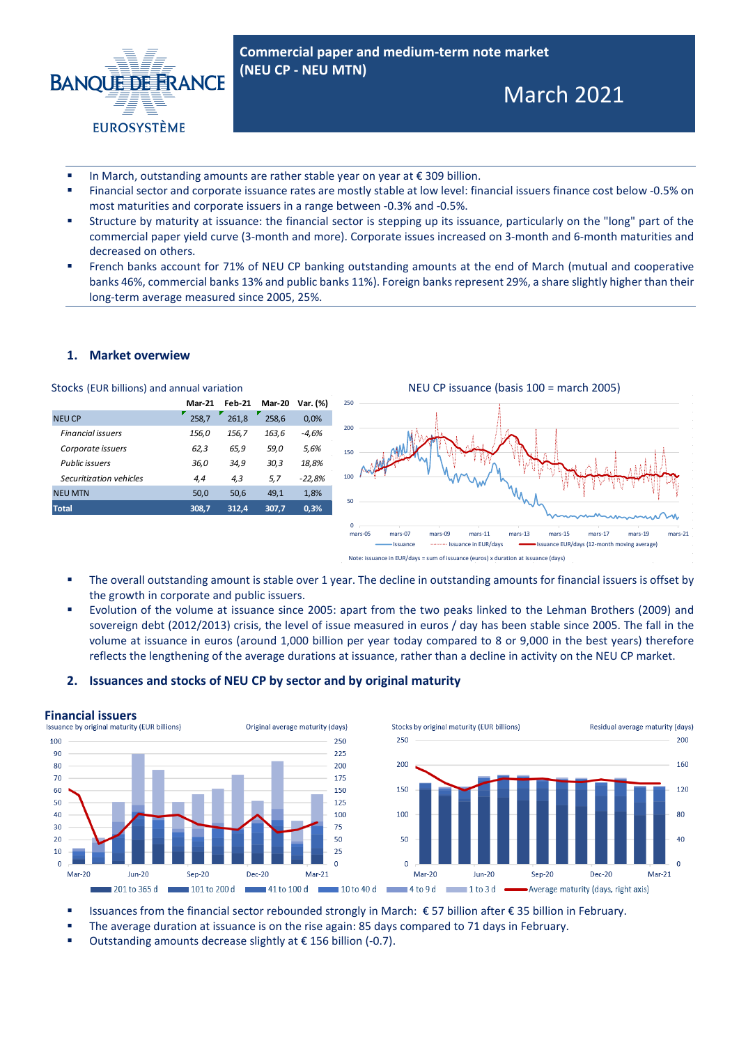

**Commercial paper and medium-term note market (NEU CP - NEU MTN)** 

# March 2021

- In March, outstanding amounts are rather stable year on year at € 309 billion.
- Financial sector and corporate issuance rates are mostly stable at low level: financial issuers finance cost below -0.5% on most maturities and corporate issuers in a range between -0.3% and -0.5%.
- Structure by maturity at issuance: the financial sector is stepping up its issuance, particularly on the "long" part of the commercial paper yield curve (3-month and more). Corporate issues increased on 3-month and 6-month maturities and decreased on others.
- French banks account for 71% of NEU CP banking outstanding amounts at the end of March (mutual and cooperative banks 46%, commercial banks 13% and public banks 11%). Foreign banks represent 29%, a share slightly higher than their long-term average measured since 2005, 25%.

### **1. Market overwiew**

|                          | <b>Mar-21</b> | <b>Feb-21</b> | <b>Mar-20</b> | Var. (%) |
|--------------------------|---------------|---------------|---------------|----------|
| <b>NEU CP</b>            | 258.7         | 261.8         | 258.6         | 0.0%     |
| <b>Financial issuers</b> | 156,0         | 156,7         | 163,6         | $-4,6%$  |
| Corporate issuers        | 62,3          | 65,9          | 59,0          | 5,6%     |
| Public issuers           | 36,0          | 34,9          | 30,3          | 18,8%    |
| Securitization vehicles  | 4,4           | 4,3           | 5,7           | $-22,8%$ |
| <b>NEU MTN</b>           | 50,0          | 50,6          | 49,1          | 1.8%     |
| <b>Total</b>             | 308,7         | 312,4         | 307,7         | 0,3%     |
|                          |               |               |               |          |



- The overall outstanding amount is stable over 1 year. The decline in outstanding amounts for financial issuers is offset by the growth in corporate and public issuers.
- Evolution of the volume at issuance since 2005: apart from the two peaks linked to the Lehman Brothers (2009) and sovereign debt (2012/2013) crisis, the level of issue measured in euros / day has been stable since 2005. The fall in the volume at issuance in euros (around 1,000 billion per year today compared to 8 or 9,000 in the best years) therefore reflects the lengthening of the average durations at issuance, rather than a decline in activity on the NEU CP market.

#### **2. Issuances and stocks of NEU CP by sector and by original maturity**



- Issuances from the financial sector rebounded strongly in March: € 57 billion after € 35 billion in February.
- The average duration at issuance is on the rise again: 85 days compared to 71 days in February.
- Outstanding amounts decrease slightly at € 156 billion (-0.7).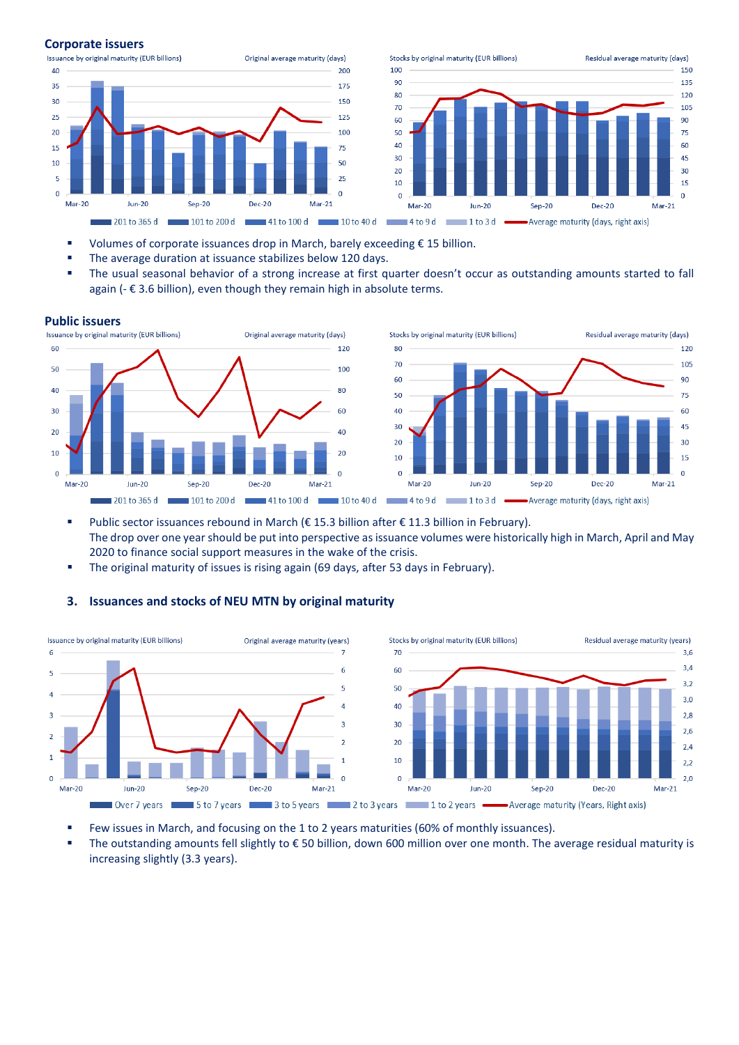#### **Corporate issuers**



- Volumes of corporate issuances drop in March, barely exceeding  $£$  15 billion.
- The average duration at issuance stabilizes below 120 days.
- The usual seasonal behavior of a strong increase at first quarter doesn't occur as outstanding amounts started to fall again (- € 3.6 billion), even though they remain high in absolute terms.





- Public sector issuances rebound in March (€ 15.3 billion after € 11.3 billion in February). The drop over one year should be put into perspective as issuance volumes were historically high in March, April and May 2020 to finance social support measures in the wake of the crisis.
- The original maturity of issues is rising again (69 days, after 53 days in February).

#### **3. Issuances and stocks of NEU MTN by original maturity**



- Few issues in March, and focusing on the 1 to 2 years maturities (60% of monthly issuances).
- The outstanding amounts fell slightly to € 50 billion, down 600 million over one month. The average residual maturity is increasing slightly (3.3 years).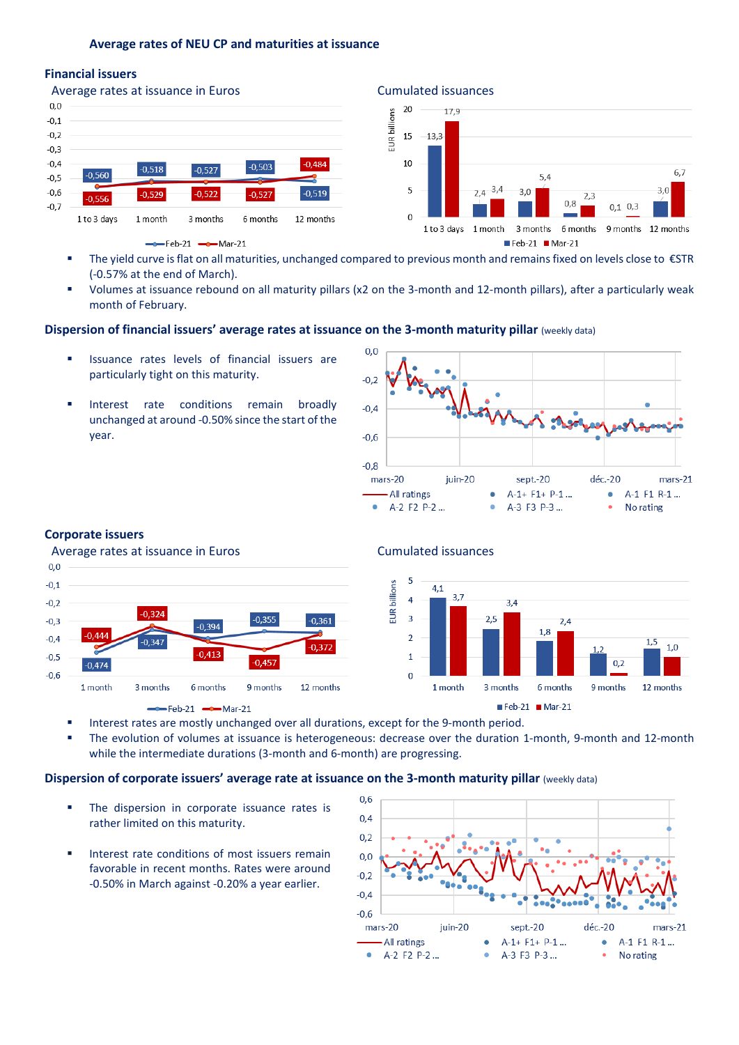### **Average rates of NEU CP and maturities at issuance**

## **Financial issuers**





- The yield curve is flat on all maturities, unchanged compared to previous month and remains fixed on levels close to €STR (-0.57% at the end of March).
- Volumes at issuance rebound on all maturity pillars (x2 on the 3-month and 12-month pillars), after a particularly weak month of February.

# **Dispersion of financial issuers' average rates at issuance on the 3-month maturity pillar** (weekly data)

- Issuance rates levels of financial issuers are particularly tight on this maturity.
- Interest rate conditions remain broadly unchanged at around -0.50% since the start of the year.



# **Corporate issuers**

### Average rates at issuance in Euros **Cumulated** issuances





- Interest rates are mostly unchanged over all durations, except for the 9-month period.
- The evolution of volumes at issuance is heterogeneous: decrease over the duration 1-month, 9-month and 12-month while the intermediate durations (3-month and 6-month) are progressing.

#### **Dispersion of corporate issuers' average rate at issuance on the 3-month maturity pillar (weekly data)**

- The dispersion in corporate issuance rates is rather limited on this maturity.
- Interest rate conditions of most issuers remain favorable in recent months. Rates were around -0.50% in March against -0.20% a year earlier.